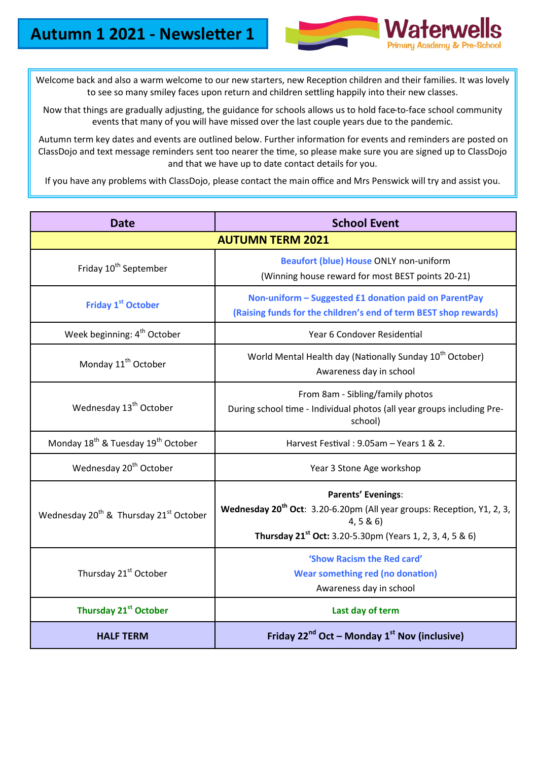

Welcome back and also a warm welcome to our new starters, new Reception children and their families. It was lovely to see so many smiley faces upon return and children settling happily into their new classes.

Now that things are gradually adjusting, the guidance for schools allows us to hold face-to-face school community events that many of you will have missed over the last couple years due to the pandemic.

Autumn term key dates and events are outlined below. Further information for events and reminders are posted on ClassDojo and text message reminders sent too nearer the time, so please make sure you are signed up to ClassDojo and that we have up to date contact details for you.

If you have any problems with ClassDojo, please contact the main office and Mrs Penswick will try and assist you.

| <b>Date</b>                                                    | <b>School Event</b>                                                                                                                                                                                 |  |
|----------------------------------------------------------------|-----------------------------------------------------------------------------------------------------------------------------------------------------------------------------------------------------|--|
| <b>AUTUMN TERM 2021</b>                                        |                                                                                                                                                                                                     |  |
| Friday 10 <sup>th</sup> September                              | <b>Beaufort (blue) House ONLY non-uniform</b><br>(Winning house reward for most BEST points 20-21)                                                                                                  |  |
| <b>Friday 1st October</b>                                      | Non-uniform - Suggested £1 donation paid on ParentPay<br>(Raising funds for the children's end of term BEST shop rewards)                                                                           |  |
| Week beginning: 4 <sup>th</sup> October                        | Year 6 Condover Residential                                                                                                                                                                         |  |
| Monday 11 <sup>th</sup> October                                | World Mental Health day (Nationally Sunday 10 <sup>th</sup> October)<br>Awareness day in school                                                                                                     |  |
| Wednesday 13 <sup>th</sup> October                             | From 8am - Sibling/family photos<br>During school time - Individual photos (all year groups including Pre-<br>school)                                                                               |  |
| Monday 18 <sup>th</sup> & Tuesday 19 <sup>th</sup> October     | Harvest Festival: 9.05am - Years 1 & 2.                                                                                                                                                             |  |
| Wednesday 20 <sup>th</sup> October                             | Year 3 Stone Age workshop                                                                                                                                                                           |  |
| Wednesday 20 <sup>th</sup> & Thursday 21 <sup>st</sup> October | <b>Parents' Evenings:</b><br>Wednesday 20 <sup>th</sup> Oct: 3.20-6.20pm (All year groups: Reception, Y1, 2, 3,<br>4, 5 & 6<br>Thursday 21 <sup>st</sup> Oct: 3.20-5.30pm (Years 1, 2, 3, 4, 5 & 6) |  |
| Thursday 21 <sup>st</sup> October                              | 'Show Racism the Red card'<br><b>Wear something red (no donation)</b><br>Awareness day in school                                                                                                    |  |
| Thursday 21 <sup>st</sup> October                              | Last day of term                                                                                                                                                                                    |  |
| <b>HALF TERM</b>                                               | Friday 22 <sup>nd</sup> Oct - Monday 1 <sup>st</sup> Nov (inclusive)                                                                                                                                |  |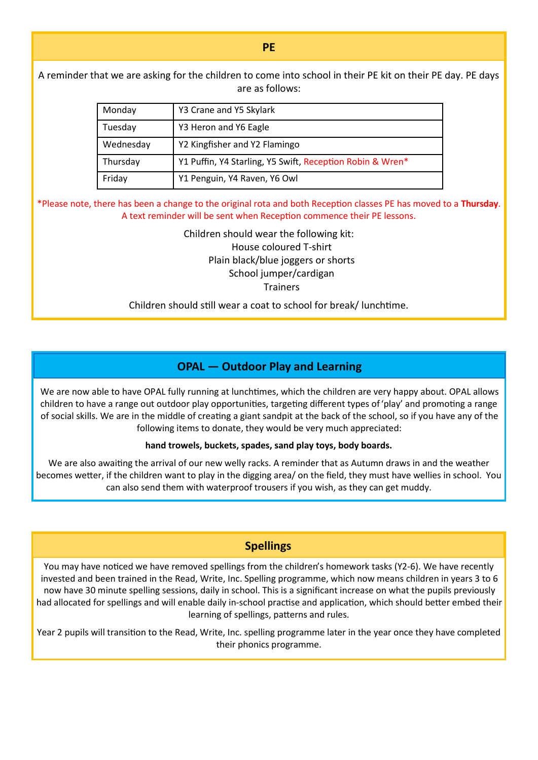A reminder that we are asking for the children to come into school in their PE kit on their PE day. PE days are as follows:

| Monday    | Y3 Crane and Y5 Skylark                                   |
|-----------|-----------------------------------------------------------|
| Tuesday   | Y3 Heron and Y6 Eagle                                     |
| Wednesday | Y2 Kingfisher and Y2 Flamingo                             |
| Thursday  | Y1 Puffin, Y4 Starling, Y5 Swift, Reception Robin & Wren* |
| Friday    | Y1 Penguin, Y4 Raven, Y6 Owl                              |

\*Please note, there has been a change to the original rota and both Reception classes PE has moved to a **Thursday**. A text reminder will be sent when Reception commence their PE lessons.

> Children should wear the following kit: House coloured T-shirt Plain black/blue joggers or shorts School jumper/cardigan **Trainers**

Children should still wear a coat to school for break/ lunchtime.

## **OPAL — Outdoor Play and Learning**

We are now able to have OPAL fully running at lunchtimes, which the children are very happy about. OPAL allows children to have a range out outdoor play opportunities, targeting different types of 'play' and promoting a range of social skills. We are in the middle of creating a giant sandpit at the back of the school, so if you have any of the following items to donate, they would be very much appreciated:

#### **hand trowels, buckets, spades, sand play toys, body boards.**

We are also awaiting the arrival of our new welly racks. A reminder that as Autumn draws in and the weather becomes wetter, if the children want to play in the digging area/ on the field, they must have wellies in school. You can also send them with waterproof trousers if you wish, as they can get muddy.

## **Spellings**

You may have noticed we have removed spellings from the children's homework tasks (Y2-6). We have recently invested and been trained in the Read, Write, Inc. Spelling programme, which now means children in years 3 to 6 now have 30 minute spelling sessions, daily in school. This is a significant increase on what the pupils previously had allocated for spellings and will enable daily in-school practise and application, which should better embed their learning of spellings, patterns and rules.

Year 2 pupils will transition to the Read, Write, Inc. spelling programme later in the year once they have completed their phonics programme.